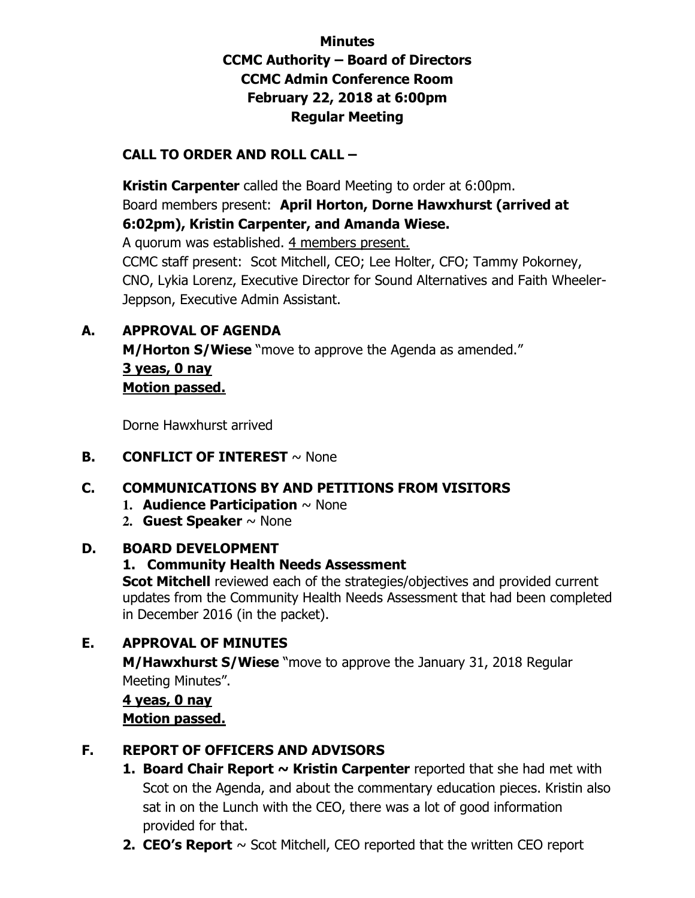# **Minutes CCMC Authority – Board of Directors CCMC Admin Conference Room February 22, 2018 at 6:00pm Regular Meeting**

# **CALL TO ORDER AND ROLL CALL –**

 **Kristin Carpenter** called the Board Meeting to order at 6:00pm. Board members present: **April Horton, Dorne Hawxhurst (arrived at 6:02pm), Kristin Carpenter, and Amanda Wiese.**  A quorum was established. 4 members present. CCMC staff present: Scot Mitchell, CEO; Lee Holter, CFO; Tammy Pokorney, CNO, Lykia Lorenz, Executive Director for Sound Alternatives and Faith Wheeler-Jeppson, Executive Admin Assistant.

## **A. APPROVAL OF AGENDA**

**M/Horton S/Wiese** "move to approve the Agenda as amended." **3 yeas, 0 nay Motion passed.** 

Dorne Hawxhurst arrived

#### **B. CONFLICT OF INTEREST**  $\sim$  None

### **C. COMMUNICATIONS BY AND PETITIONS FROM VISITORS**

- **1. Audience Participation** ~ None
- **2. Guest Speaker** ~ None

#### **D. BOARD DEVELOPMENT**

### **1. Community Health Needs Assessment**

**Scot Mitchell** reviewed each of the strategies/objectives and provided current updates from the Community Health Needs Assessment that had been completed in December 2016 (in the packet).

### **E. APPROVAL OF MINUTES**

**M/Hawxhurst S/Wiese** "move to approve the January 31, 2018 Regular Meeting Minutes".

## **4 yeas, 0 nay Motion passed.**

## **F. REPORT OF OFFICERS AND ADVISORS**

- **1. Board Chair Report ~ Kristin Carpenter** reported that she had met with Scot on the Agenda, and about the commentary education pieces. Kristin also sat in on the Lunch with the CEO, there was a lot of good information provided for that.
- **2. CEO's Report** ~ Scot Mitchell, CEO reported that the written CEO report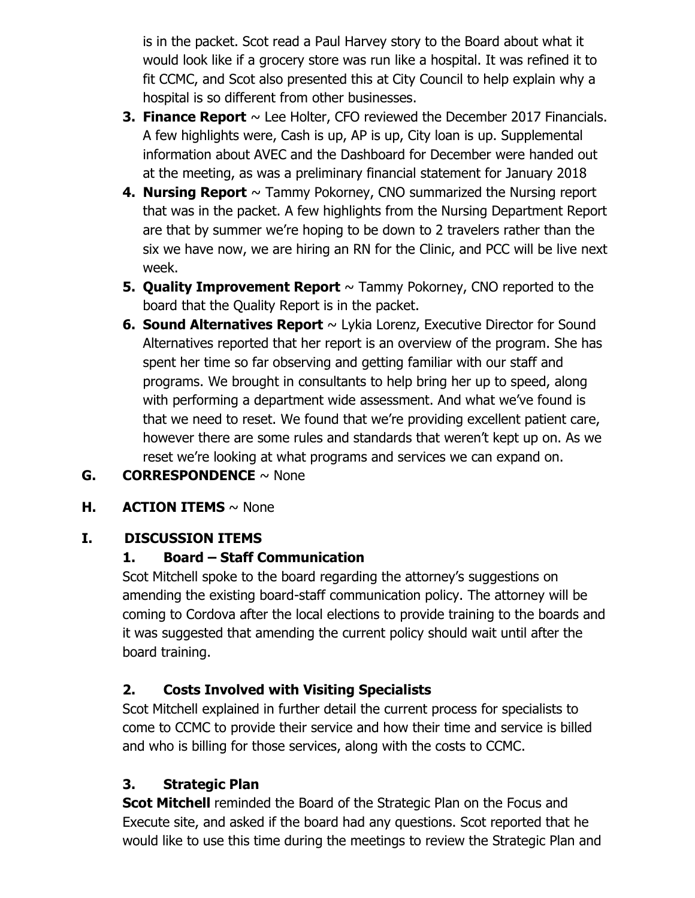is in the packet. Scot read a Paul Harvey story to the Board about what it would look like if a grocery store was run like a hospital. It was refined it to fit CCMC, and Scot also presented this at City Council to help explain why a hospital is so different from other businesses.

- **3. Finance Report**  $\sim$  Lee Holter, CFO reviewed the December 2017 Financials. A few highlights were, Cash is up, AP is up, City loan is up. Supplemental information about AVEC and the Dashboard for December were handed out at the meeting, as was a preliminary financial statement for January 2018
- **4. Nursing Report**  $\sim$  Tammy Pokorney, CNO summarized the Nursing report that was in the packet. A few highlights from the Nursing Department Report are that by summer we're hoping to be down to 2 travelers rather than the six we have now, we are hiring an RN for the Clinic, and PCC will be live next week.
- **5. Quality Improvement Report** ~ Tammy Pokorney, CNO reported to the board that the Quality Report is in the packet.
- **6. Sound Alternatives Report** ~ Lykia Lorenz, Executive Director for Sound Alternatives reported that her report is an overview of the program. She has spent her time so far observing and getting familiar with our staff and programs. We brought in consultants to help bring her up to speed, along with performing a department wide assessment. And what we've found is that we need to reset. We found that we're providing excellent patient care, however there are some rules and standards that weren't kept up on. As we reset we're looking at what programs and services we can expand on.
- **G. CORRESPONDENCE** ~ None

## **H. ACTION ITEMS** ~ None

## **I. DISCUSSION ITEMS**

### **1. Board – Staff Communication**

Scot Mitchell spoke to the board regarding the attorney's suggestions on amending the existing board-staff communication policy. The attorney will be coming to Cordova after the local elections to provide training to the boards and it was suggested that amending the current policy should wait until after the board training.

## **2. Costs Involved with Visiting Specialists**

Scot Mitchell explained in further detail the current process for specialists to come to CCMC to provide their service and how their time and service is billed and who is billing for those services, along with the costs to CCMC.

## **3. Strategic Plan**

**Scot Mitchell** reminded the Board of the Strategic Plan on the Focus and Execute site, and asked if the board had any questions. Scot reported that he would like to use this time during the meetings to review the Strategic Plan and